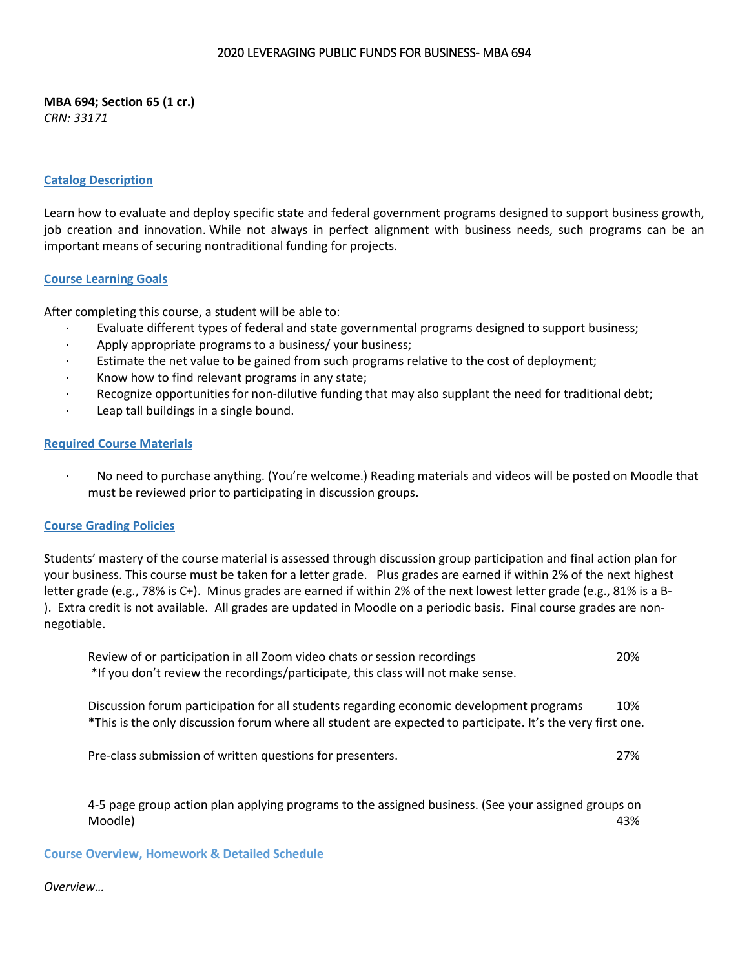#### 2020 LEVERAGING PUBLIC FUNDS FOR BUSINESS- MBA 694

**MBA 694; Section 65 (1 cr.)** *CRN: 33171*

#### **Catalog Description**

Learn how to evaluate and deploy specific state and federal government programs designed to support business growth, job creation and innovation. While not always in perfect alignment with business needs, such programs can be an important means of securing nontraditional funding for projects.

### **Course Learning Goals**

After completing this course, a student will be able to:

- · Evaluate different types of federal and state governmental programs designed to support business;
- · Apply appropriate programs to a business/ your business;
- Estimate the net value to be gained from such programs relative to the cost of deployment;
- Know how to find relevant programs in any state;
- · Recognize opportunities for non-dilutive funding that may also supplant the need for traditional debt;
- Leap tall buildings in a single bound.

### **Required Course Materials**

· No need to purchase anything. (You're welcome.) Reading materials and videos will be posted on Moodle that must be reviewed prior to participating in discussion groups.

#### **Course Grading Policies**

Students' mastery of the course material is assessed through discussion group participation and final action plan for your business. This course must be taken for a letter grade. Plus grades are earned if within 2% of the next highest letter grade (e.g., 78% is C+). Minus grades are earned if within 2% of the next lowest letter grade (e.g., 81% is a B- ). Extra credit is not available. All grades are updated in Moodle on a periodic basis. Final course grades are nonnegotiable.

| Review of or participation in all Zoom video chats or session recordings         | 20% |
|----------------------------------------------------------------------------------|-----|
| *If you don't review the recordings/participate, this class will not make sense. |     |

Discussion forum participation for all students regarding economic development programs 10% \*This is the only discussion forum where all student are expected to participate. It's the very first one.

Pre-class submission of written questions for presenters. 27%

4-5 page group action plan applying programs to the assigned business. (See your assigned groups on Moodle) 43%

**Course Overview, Homework & Detailed Schedule**

#### *Overview…*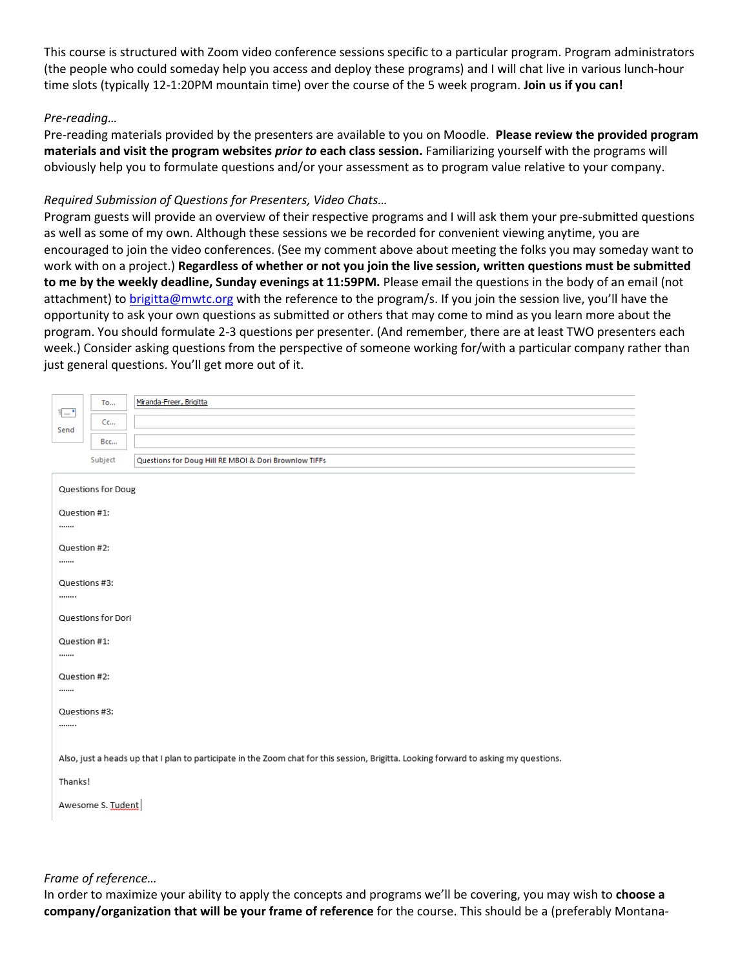This course is structured with Zoom video conference sessions specific to a particular program. Program administrators (the people who could someday help you access and deploy these programs) and I will chat live in various lunch-hour time slots (typically 12-1:20PM mountain time) over the course of the 5 week program. **Join us if you can!**

## *Pre-reading…*

Pre-reading materials provided by the presenters are available to you on Moodle. **Please review the provided program materials and visit the program websites** *prior to* **each class session.** Familiarizing yourself with the programs will obviously help you to formulate questions and/or your assessment as to program value relative to your company.

### *Required Submission of Questions for Presenters, Video Chats…*

Program guests will provide an overview of their respective programs and I will ask them your pre-submitted questions as well as some of my own. Although these sessions we be recorded for convenient viewing anytime, you are encouraged to join the video conferences. (See my comment above about meeting the folks you may someday want to work with on a project.) **Regardless of whether or not you join the live session, written questions must be submitted to me by the weekly deadline, Sunday evenings at 11:59PM.** Please email the questions in the body of an email (not attachment) to [brigitta@mwtc.org](mailto:brigitta@mwtc.org) with the reference to the program/s. If you join the session live, you'll have the opportunity to ask your own questions as submitted or others that may come to mind as you learn more about the program. You should formulate 2-3 questions per presenter. (And remember, there are at least TWO presenters each week.) Consider asking questions from the perspective of someone working for/with a particular company rather than just general questions. You'll get more out of it.

|                                                                                                                                       | <b>To</b> | Miranda-Freer, Brigitta                               |  |
|---------------------------------------------------------------------------------------------------------------------------------------|-----------|-------------------------------------------------------|--|
| $\overline{\cdot}$<br>Send                                                                                                            | Cc        |                                                       |  |
|                                                                                                                                       | Bcc       |                                                       |  |
|                                                                                                                                       | Subject   | Questions for Doug Hill RE MBOI & Dori Brownlow TIFFs |  |
| Questions for Doug                                                                                                                    |           |                                                       |  |
| Question #1:                                                                                                                          |           |                                                       |  |
|                                                                                                                                       |           |                                                       |  |
| Question #2:                                                                                                                          |           |                                                       |  |
|                                                                                                                                       |           |                                                       |  |
| Questions #3:                                                                                                                         |           |                                                       |  |
|                                                                                                                                       |           |                                                       |  |
| Questions for Dori                                                                                                                    |           |                                                       |  |
| Question #1:                                                                                                                          |           |                                                       |  |
|                                                                                                                                       |           |                                                       |  |
| Question #2:                                                                                                                          |           |                                                       |  |
|                                                                                                                                       |           |                                                       |  |
| Questions #3:                                                                                                                         |           |                                                       |  |
|                                                                                                                                       |           |                                                       |  |
| Also, just a heads up that I plan to participate in the Zoom chat for this session, Brigitta. Looking forward to asking my questions. |           |                                                       |  |
| Thanks!                                                                                                                               |           |                                                       |  |
| Awesome S. Tudent                                                                                                                     |           |                                                       |  |
|                                                                                                                                       |           |                                                       |  |

*Frame of reference…*

In order to maximize your ability to apply the concepts and programs we'll be covering, you may wish to **choose a company/organization that will be your frame of reference** for the course. This should be a (preferably Montana-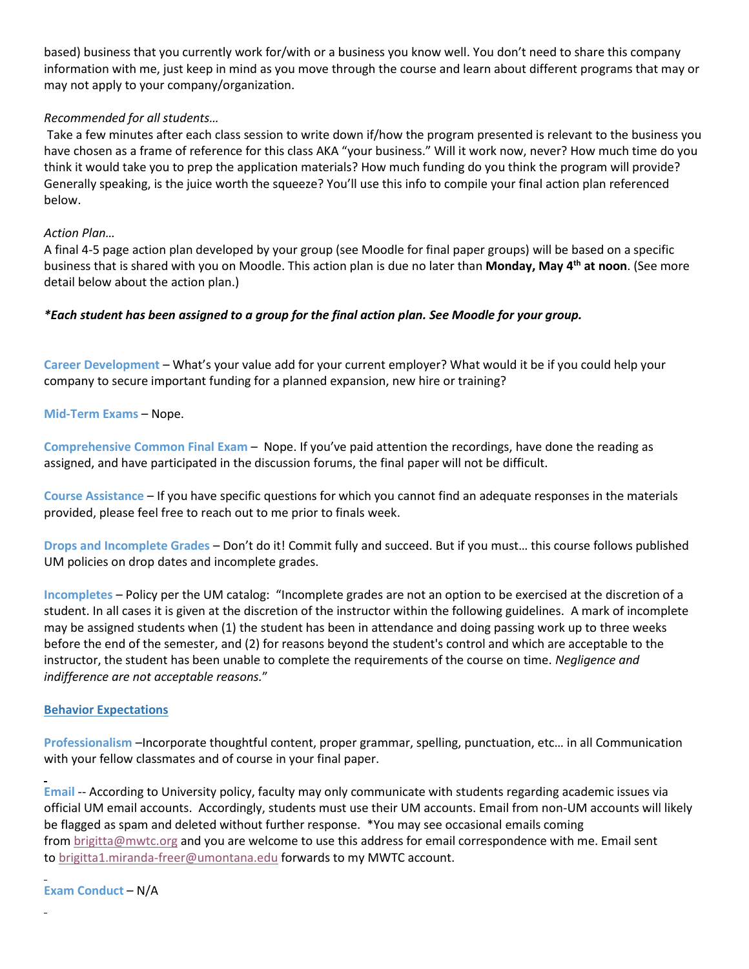based) business that you currently work for/with or a business you know well. You don't need to share this company information with me, just keep in mind as you move through the course and learn about different programs that may or may not apply to your company/organization.

# *Recommended for all students…*

Take a few minutes after each class session to write down if/how the program presented is relevant to the business you have chosen as a frame of reference for this class AKA "your business." Will it work now, never? How much time do you think it would take you to prep the application materials? How much funding do you think the program will provide? Generally speaking, is the juice worth the squeeze? You'll use this info to compile your final action plan referenced below.

## *Action Plan…*

A final 4-5 page action plan developed by your group (see Moodle for final paper groups) will be based on a specific business that is shared with you on Moodle. This action plan is due no later than **Monday, May 4 th at noon**. (See more detail below about the action plan.)

# *\*Each student has been assigned to a group for the final action plan. See Moodle for your group.*

**Career Development** – What's your value add for your current employer? What would it be if you could help your company to secure important funding for a planned expansion, new hire or training?

**Mid-Term Exams** – Nope.

**Comprehensive Common Final Exam** – Nope. If you've paid attention the recordings, have done the reading as assigned, and have participated in the discussion forums, the final paper will not be difficult.

**Course Assistance** – If you have specific questions for which you cannot find an adequate responses in the materials provided, please feel free to reach out to me prior to finals week.

**Drops and Incomplete Grades** – Don't do it! Commit fully and succeed. But if you must… this course follows published UM policies on drop dates and incomplete grades.

 **Incompletes** – Policy per the UM catalog: "Incomplete grades are not an option to be exercised at the discretion of a student. In all cases it is given at the discretion of the instructor within the following guidelines. A mark of incomplete may be assigned students when (1) the student has been in attendance and doing passing work up to three weeks before the end of the semester, and (2) for reasons beyond the student's control and which are acceptable to the instructor, the student has been unable to complete the requirements of the course on time. *Negligence and indifference are not acceptable reasons.*"

### **Behavior Expectations**

**Professionalism** –Incorporate thoughtful content, proper grammar, spelling, punctuation, etc… in all Communication with your fellow classmates and of course in your final paper.

**Email** -- According to University policy, faculty may only communicate with students regarding academic issues via official UM email accounts. Accordingly, students must use their UM accounts. Email from non-UM accounts will likely be flagged as spam and deleted without further response. \*You may see occasional emails coming from [brigitta@mwtc.org](mailto:brigitta@mwtc.org) and you are welcome to use this address for email correspondence with me. Email sent to [brigitta1.miranda-freer@umontana.edu](mailto:brigitta1.miranda-freer@umontana.edu) forwards to my MWTC account.

**Exam Conduct** – N/A